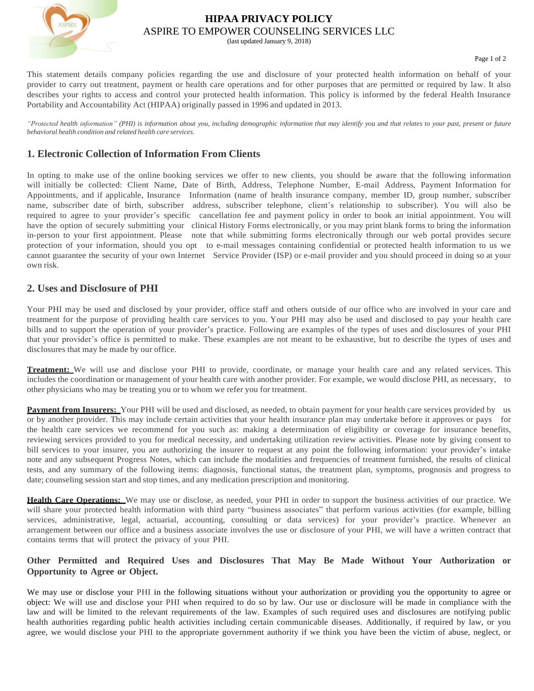

# **HIPAA PRIVACY POLICY** ASPIRE TO EMPOWER COUNSELING SERVICES LLC

(last updated January 9, 2018)

This statement details company policies regarding the use and disclosure of your protected health information on behalf of your provider to carry out treatment, payment or health care operations and for other purposes that are permitted or required by law. It also describes your rights to access and control your protected health information. This policy is informed by the federal Health Insurance Portability and Accountability Act (HIPAA) originally passed in 1996 and updated in 2013.

"Protected health information" (PHI) is information about you, including demographic information that may identify you and that relates to your past, present or future *behavioral health condition and related health care services.*

# **1. Electronic Collection of Information From Clients**

In opting to make use of the online booking services we offer to new clients, you should be aware that the following information will initially be collected: Client Name, Date of Birth, Address, Telephone Number, E-mail Address, Payment Information for Appointments, and if applicable, Insurance Information (name of health insurance company, member ID, group number, subscriber name, subscriber date of birth, subscriber address, subscriber telephone, client's relationship to subscriber). You will also be required to agree to your provider's specific cancellation fee and payment policy in order to book an initial appointment. You will have the option of securely submitting your clinical History Forms electronically, or you may print blank forms to bring the information in-person to your first appointment. Please note that while submitting forms electronically through our web portal provides secure protection of your information, should you opt to e-mail messages containing confidential or protected health information to us we cannot guarantee the security of your own Internet Service Provider (ISP) or e-mail provider and you should proceed in doing so at your own risk.

## **2. Uses and Disclosure of PHI**

Your PHI may be used and disclosed by your provider, office staff and others outside of our office who are involved in your care and treatment for the purpose of providing health care services to you. Your PHI may also be used and disclosed to pay your health care bills and to support the operation of your provider's practice. Following are examples of the types of uses and disclosures of your PHI that your provider's office is permitted to make. These examples are not meant to be exhaustive, but to describe the types of uses and disclosures that may be made by our office.

**Treatment:** We will use and disclose your PHI to provide, coordinate, or manage your health care and any related services. This includes the coordination or management of your health care with another provider. For example, we would disclose PHI, as necessary, to other physicians who may be treating you or to whom we refer you for treatment.

**Payment from Insurers:** Your PHI will be used and disclosed, as needed, to obtain payment for your health care services provided by us or by another provider. This may include certain activities that your health insurance plan may undertake before it approves or pays for the health care services we recommend for you such as: making a determination of eligibility or coverage for insurance benefits, reviewing services provided to you for medical necessity, and undertaking utilization review activities. Please note by giving consent to bill services to your insurer, you are authorizing the insurer to request at any point the following information: your provider's intake note and any subsequent Progress Notes, which can include the modalities and frequencies of treatment furnished, the results of clinical tests, and any summary of the following items: diagnosis, functional status, the treatment plan, symptoms, prognosis and progress to date; counseling session start and stop times, and any medication prescription and monitoring.

**Health Care Operations:** We may use or disclose, as needed, your PHI in order to support the business activities of our practice. We will share your protected health information with third party "business associates" that perform various activities (for example, billing services, administrative, legal, actuarial, accounting, consulting or data services) for your provider's practice. Whenever an arrangement between our office and a business associate involves the use or disclosure of your PHI, we will have a written contract that contains terms that will protect the privacy of your PHI.

#### **Other Permitted and Required Uses and Disclosures That May Be Made Without Your Authorization or Opportunity to Agree or Object.**

We may use or disclose your PHI in the following situations without your authorization or providing you the opportunity to agree or object: We will use and disclose your PHI when required to do so by law. Our use or disclosure will be made in compliance with the law and will be limited to the relevant requirements of the law. Examples of such required uses and disclosures are notifying public health authorities regarding public health activities including certain communicable diseases. Additionally, if required by law, or you agree, we would disclose your PHI to the appropriate government authority if we think you have been the victim of abuse, neglect, or